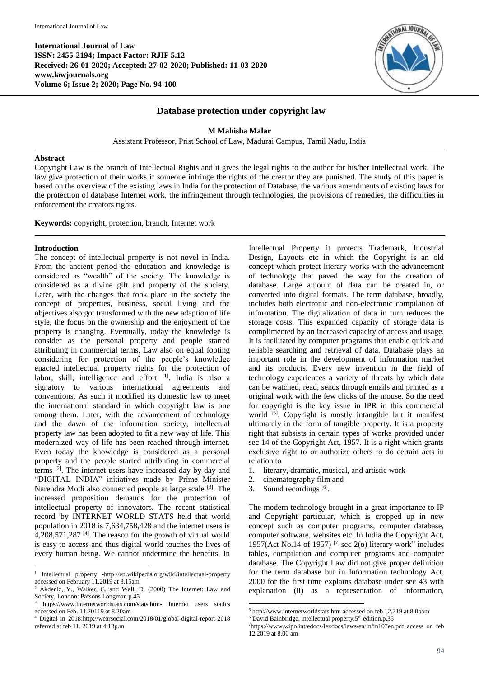

# **Database protection under copyright law**

**M Mahisha Malar**

Assistant Professor, Prist School of Law, Madurai Campus, Tamil Nadu, India

## **Abstract**

Copyright Law is the branch of Intellectual Rights and it gives the legal rights to the author for his/her Intellectual work. The law give protection of their works if someone infringe the rights of the creator they are punished. The study of this paper is based on the overview of the existing laws in India for the protection of Database, the various amendments of existing laws for the protection of database Internet work, the infringement through technologies, the provisions of remedies, the difficulties in enforcement the creators rights.

**Keywords:** copyright, protection, branch, Internet work

# **Introduction**

The concept of intellectual property is not novel in India. From the ancient period the education and knowledge is considered as "wealth" of the society. The knowledge is considered as a divine gift and property of the society. Later, with the changes that took place in the society the concept of properties, business, social living and the objectives also got transformed with the new adaption of life style, the focus on the ownership and the enjoyment of the property is changing. Eventually, today the knowledge is consider as the personal property and people started attributing in commercial terms. Law also on equal footing considering for protection of the people's knowledge enacted intellectual property rights for the protection of labor, skill, intelligence and effort [1]. India is also a signatory to various international agreements and conventions. As such it modified its domestic law to meet the international standard in which copyright law is one among them. Later, with the advancement of technology and the dawn of the information society, intellectual property law has been adopted to fit a new way of life. This modernized way of life has been reached through internet. Even today the knowledge is considered as a personal property and the people started attributing in commercial terms  $^{[2]}$ . The internet users have increased day by day and "DIGITAL INDIA" initiatives made by Prime Minister Narendra Modi also connected people at large scale [3]. The increased proposition demands for the protection of intellectual property of innovators. The recent statistical record <sup>i</sup>by INTERNET WORLD STATS held that world population in 2018 is 7,634,758,428 and the internet users is  $4,208,571,287$ <sup>[4]</sup>. The reason for the growth of virtual world is easy to access and thus digital world touches the lives of every human being. We cannot undermine the benefits. In

Intellectual Property it protects Trademark, Industrial Design, Layouts etc in which the Copyright is an old concept which protect literary works with the advancement of technology that paved the way for the creation of database. Large amount of data can be created in, or converted into digital formats. The term database, broadly, includes both electronic and non-electronic compilation of information. The digitalization of data in turn reduces the storage costs. This expanded capacity of storage data is complimented by an increased capacity of access and usage. It is facilitated by computer programs that enable quick and reliable searching and retrieval of data. Database plays an important role in the development of information market and its products. Every new invention in the field of technology experiences a variety of threats by which data can be watched, read, sends through emails and printed as a original work with the few clicks of the mouse. So the need for copyright is the key issue in IPR in this commercial world <sup>[5]</sup>. Copyright is mostly intangible but it manifest ultimately in the form of tangible property. It is a property right that subsists in certain types of works provided under sec 14 of the Copyright Act, 1957. It is a right which grants exclusive right to or authorize others to do certain acts in relation to

- 1. literary, dramatic, musical, and artistic work
- 2. cinematography film and
- 3. Sound recordings [6].

**.** 

The modern technology brought in a great importance to IP and Copyright particular, which is cropped up in new concept such as computer programs, computer database, computer software, websites etc. In India the Copyright Act, 1957(Act No.14 of 1957)<sup>[7]</sup> sec 2(o) literary work" includes tables, compilation and computer programs and computer database. The Copyright Law did not give proper definition for the term database but in Information technology Act, 2000 for the first time explains database under sec 43 with explanation (ii) as a representation of information,

 $\bar{1}$ <sup>1</sup> Intellectual property -http://en.wikipedia.org/wiki/intellectual-property accessed on February 11,2019 at 8.15am

<sup>2</sup> Akdeniz, Y., Walker, C. and Wall, D. (2000) The Internet: Law and Society*,* London: Parsons Longman p.45

<sup>3</sup> https://www.internetworldstats.com/stats.htm- Internet users statics accessed on Feb. 11,20119 at 8.20am

<sup>4</sup> Digital in 2018:http://wearsocial.com/2018/01/global-digital-report-2018 referred at feb 11, 2019 at 4:13p.m

<sup>5</sup> http://www.internetworldstats.htm accessed on feb 12,219 at 8.0oam

 $6$  David Bainbridge, intellectual property,  $5<sup>th</sup>$  edition.p.35

<sup>7</sup>https://www.wipo.int/edocs/lexdocs/laws/en/in/in107en.pdf access on feb 12,2019 at 8.00 am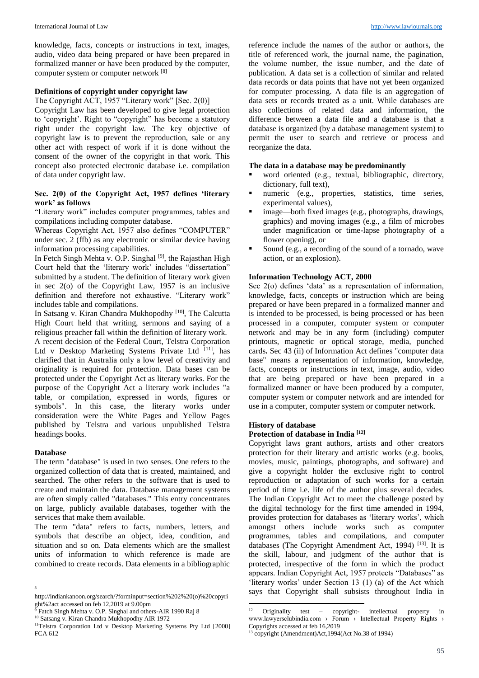knowledge, facts, concepts or instructions in text, images, audio, video data being prepared or have been prepared in formalized manner or have been produced by the computer, computer system or computer network [8]

# **Definitions of copyright under copyright law**

The Copyright ACT, 1957 "Literary work" [Sec. 2(0)]

Copyright Law has been developed to give legal protection to 'copyright'. Right to "copyright" has become a statutory right under the copyright law. The key objective of copyright law is to prevent the reproduction, sale or any other act with respect of work if it is done without the consent of the owner of the copyright in that work. This concept also protected electronic database i.e. compilation of data under copyright law.

## **Sec. 2(0) of the Copyright Act, 1957 defines 'literary work' as follows**

"Literary work" includes computer programmes, tables and compilations including computer database.

Whereas Copyright Act, 1957 also defines "COMPUTER" under sec. 2 (ffb) as any electronic or similar device having information processing capabilities.

In Fetch Singh Mehta v. O.P. Singhal<sup>[9]</sup>, the Rajasthan High Court held that the 'literary work' includes "dissertation" submitted by a student. The definition of literary work given in sec 2(o) of the Copyright Law, 1957 is an inclusive definition and therefore not exhaustive. "Literary work" includes table and compilations.

In Satsang v. Kiran Chandra Mukhopodhy<sup>[10]</sup>, The Calcutta High Court held that writing, sermons and saying of a religious preacher fall within the definition of literary work. A recent decision of the Federal Court, Telstra Corporation Ltd v Desktop Marketing Systems Private Ltd [11], has clarified that in Australia only a low level of creativity and originality is required for protection. Data bases can be protected under the Copyright Act as literary works. For the purpose of the Copyright Act a literary work includes "a table, or compilation, expressed in words, figures or symbols". In this case, the literary works under consideration were the White Pages and Yellow Pages published by Telstra and various unpublished Telstra headings books.

#### **Database**

The term "database" is used in two senses. One refers to the organized collection of data that is created, maintained, and searched. The other refers to the software that is used to create and maintain the data. Database management systems are often simply called "databases." This entry concentrates on large, publicly available databases, together with the services that make them available.

The term "data" refers to facts, numbers, letters, and symbols that describe an object, idea, condition, and situation and so on. Data elements which are the smallest units of information to which reference is made are combined to create records. Data elements in a bibliographic

reference include the names of the author or authors, the title of referenced work, the journal name, the pagination, the volume number, the issue number, and the date of publication. A data set is a collection of similar and related data records or data points that have not yet been organized for computer processing. A data file is an aggregation of data sets or records treated as a unit. While databases are also collections of related data and information, the difference between a data file and a database is that a database is organized (by a database management system) to permit the user to search and retrieve or process and reorganize the data.

# **The data in a database may be predominantly**

- word oriented (e.g., textual, bibliographic, directory, dictionary, full text),
- numeric (e.g., properties, statistics, time series, experimental values),
- image—both fixed images (e.g., photographs, drawings, graphics) and moving images (e.g., a film of microbes under magnification or time-lapse photography of a flower opening), or
- Sound (e.g., a recording of the sound of a tornado, wave action, or an explosion).

# **Information Technology ACT, 2000**

Sec 2(o) defines 'data' as a representation of information, knowledge, facts, concepts or instruction which are being prepared or have been prepared in a formalized manner and is intended to be processed, is being processed or has been processed in a computer, computer system or computer network and may be in any form (including) computer printouts, magnetic or optical storage, media, punched cards**.** Sec 43 (ii) of Information Act defines "computer data base" means a representation of information, knowledge, facts, concepts or instructions in text, image, audio, video that are being prepared or have been prepared in a formalized manner or have been produced by a computer, computer system or computer network and are intended for use in a computer, computer system or computer network.

### **History of database**

**.** 

#### **Protection of database in India [12]**

Copyright laws grant authors, artists and other creators protection for their literary and artistic works (e.g. books, movies, music, paintings, photographs, and software) and give a copyright holder the exclusive right to control reproduction or adaptation of such works for a certain period of time i.e. life of the author plus several decades. The Indian Copyright Act to meet the challenge posted by the digital technology for the first time amended in 1994, provides protection for databases as 'literary works', which amongst others include works such as computer programmes, tables and compilations, and computer databases (The Copyright Amendment Act, 1994)<sup>[13]</sup>. It is the skill, labour, and judgment of the author that is protected, irrespective of the form in which the product appears. Indian Copyright Act, 1957 protects "Databases" as 'literary works' under Section 13 (1) (a) of the Act which says that Copyright shall subsists throughout India in

<sup>1</sup> 8

http://indiankanoon.org/search/?forminput=section%202%20(o)%20copyri ght%2act accessed on feb 12,2019 at 9.00pm

**<sup>9</sup>** Fatch Singh Mehta v. O.P. Singhal and others-AIR 1990 Raj 8

<sup>&</sup>lt;sup>10</sup> Satsang v. Kiran Chandra Mukhopodhy AIR 1972

<sup>&</sup>lt;sup>11</sup>Telstra Corporation Ltd v Desktop Marketing Systems Pty Ltd [2000] FCA 612

Originality test – copyright- intellectual property in www.lawyersclubindia.com › Forum › Intellectual Property Rights › Copyrights accessed at feb 16,2019

<sup>13</sup> copyright (Amendment)Act,1994(Act No.38 of 1994)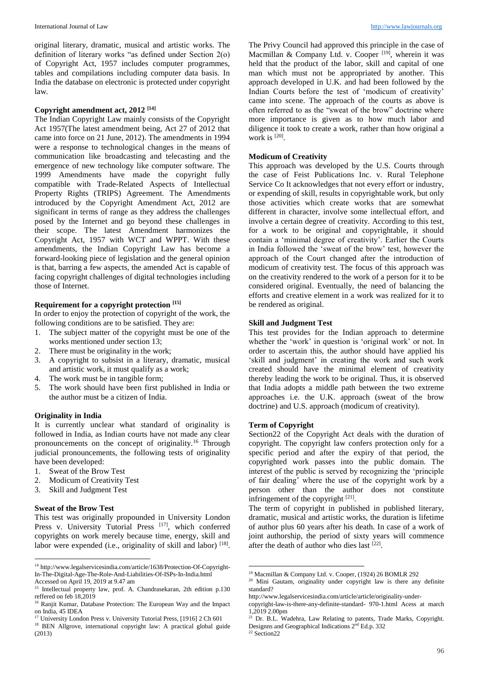original literary, dramatic, musical and artistic works. The definition of literary works "as defined under Section 2(o) of Copyright Act, 1957 includes computer programmes, tables and compilations including computer data basis. In India the database on electronic is protected under copyright law.

# **Copyright amendment act, 2012 [14]**

The Indian Copyright Law mainly consists of the Copyright Act 1957(The latest amendment being, Act 27 of 2012 that came into force on 21 June, 2012). The amendments in 1994 were a response to technological changes in the means of communication like broadcasting and telecasting and the emergence of new technology like computer software. The 1999 Amendments have made the copyright fully compatible with Trade-Related Aspects of Intellectual Property Rights (TRIPS) Agreement. The Amendments introduced by the Copyright Amendment Act, 2012 are significant in terms of range as they address the challenges posed by the Internet and go beyond these challenges in their scope. The latest Amendment harmonizes the Copyright Act, 1957 with WCT and WPPT. With these amendments, the Indian Copyright Law has become a forward-looking piece of legislation and the general opinion is that, barring a few aspects, the amended Act is capable of facing copyright challenges of digital technologies including those of Internet.

#### **Requirement for a copyright protection [15]**

In order to enjoy the protection of copyright of the work, the following conditions are to be satisfied. They are:

- 1. The subject matter of the copyright must be one of the works mentioned under section 13;
- 2. There must be originality in the work;
- 3. A copyright to subsist in a literary, dramatic, musical and artistic work, it must qualify as a work;
- 4. The work must be in tangible form;
- 5. The work should have been first published in India or the author must be a citizen of India.

## **Originality in India**

It is currently unclear what standard of originality is followed in India, as Indian courts have not made any clear pronouncements on the concept of originality.<sup>16</sup> Through judicial pronouncements, the following tests of originality have been developed:

- 1. Sweat of the Brow Test
- 2. Modicum of Creativity Test
- 3. Skill and Judgment Test

# **Sweat of the Brow Test**

**.** 

This test was originally propounded in University London Press v. University Tutorial Press [17], which conferred copyrights on work merely because time, energy, skill and labor were expended (i.e., originality of skill and labor) [18].

The Privy Council had approved this principle in the case of Macmillan & Company Ltd. v. Cooper  $[19]$ , wherein it was held that the product of the labor, skill and capital of one man which must not be appropriated by another. This approach developed in U.K. and had been followed by the Indian Courts before the test of 'modicum of creativity' came into scene. The approach of the courts as above is often referred to as the "sweat of the brow" doctrine where more importance is given as to how much labor and diligence it took to create a work, rather than how original a work is  $[20]$ .

#### **Modicum of Creativity**

This approach was developed by the U.S. Courts through the case of Feist Publications Inc. v. Rural Telephone Service Co It acknowledges that not every effort or industry, or expending of skill, results in copyrightable work, but only those activities which create works that are somewhat different in character, involve some intellectual effort, and involve a certain degree of creativity. According to this test, for a work to be original and copyrightable, it should contain a 'minimal degree of creativity'. Earlier the Courts in India followed the 'sweat of the brow' test, however the approach of the Court changed after the introduction of modicum of creativity test. The focus of this approach was on the creativity rendered to the work of a person for it to be considered original. Eventually, the need of balancing the efforts and creative element in a work was realized for it to be rendered as original.

#### **Skill and Judgment Test**

This test provides for the Indian approach to determine whether the 'work' in question is 'original work' or not. In order to ascertain this, the author should have applied his 'skill and judgment' in creating the work and such work created should have the minimal element of creativity thereby leading the work to be original. Thus, it is observed that India adopts a middle path between the two extreme approaches i.e. the U.K. approach (sweat of the brow doctrine) and U.S. approach (modicum of creativity).

## **Term of Copyright**

Section22 of the Copyright Act deals with the duration of copyright. The copyright law confers protection only for a specific period and after the expiry of that period, the copyrighted work passes into the public domain. The interest of the public is served by recognizing the 'principle of fair dealing' where the use of the copyright work by a person other than the author does not constitute infringement of the copyright  $[21]$ .

The term of copyright in published in published literary, dramatic, musical and artistic works, the duration is lifetime of author plus 60 years after his death. In case of a work of joint authorship, the period of sixty years will commence after the death of author who dies last [22].

1

<sup>14</sup> http://www.legalservicesindia.com/article/1638/Protection-Of-Copyright-In-The-Digital-Age-The-Role-And-Liabilities-Of-ISPs-In-India.html Accessed on April 19, 2019 at 9.47 am

<sup>&</sup>lt;sup>15</sup> Intellectual property law, prof. A. Chandrasekaran, 2th edition p.130 reffered on feb 18,2019

<sup>&</sup>lt;sup>16</sup> Ranjit Kumar, Database Protection: The European Way and the Impact on India, 45 IDEA

<sup>&</sup>lt;sup>17</sup> University London Press v. University Tutorial Press, [1916] 2 Ch 601

<sup>&</sup>lt;sup>18</sup> BEN Allgrove, international copyright law: A practical global guide (2013)

<sup>19</sup> Macmillan & Company Ltd. v. Cooper*,* (1924) 26 BOMLR 292

<sup>&</sup>lt;sup>20</sup> Mini Gautam, originality under copyright law is there any definite standard?

http://www.legalservicesindia.com/article/article/originality-under-

copyright-law-is-there-any-definite-standard- 970-1.html Acess at march 1,2019 2.00pm

<sup>&</sup>lt;sup>21</sup> Dr. B.L. Wadehra, Law Relating to patents, Trade Marks, Copyright. Designns and Geographical Indications 2<sup>nd</sup> Ed.p. 332

<sup>22</sup> Section22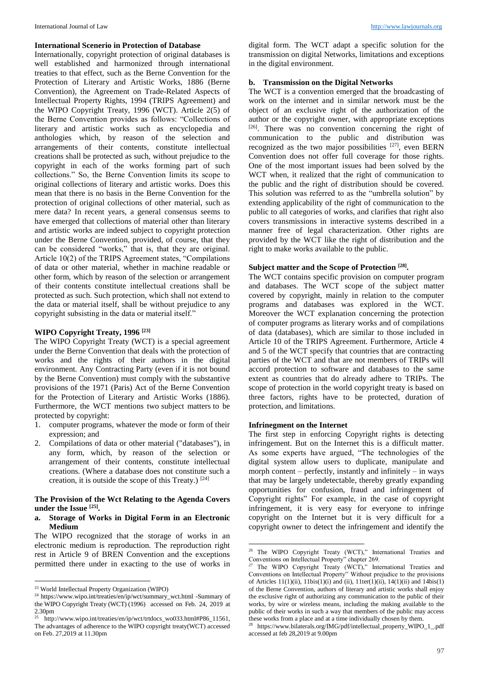#### **International Scenerio in Protection of Database**

Internationally, copyright protection of original databases is well established and harmonized through international treaties to that effect, such as the Berne Convention for the Protection of Literary and Artistic Works, 1886 (Berne Convention), the Agreement on Trade-Related Aspects of Intellectual Property Rights, 1994 (TRIPS Agreement) and the WIPO Copyright Treaty, 1996 (WCT). Article 2(5) of the Berne Convention provides as follows: "Collections of literary and artistic works such as encyclopedia and anthologies which, by reason of the selection and arrangements of their contents, constitute intellectual creations shall be protected as such, without prejudice to the copyright in each of the works forming part of such collections." So, the Berne Convention limits its scope to original collections of literary and artistic works. Does this mean that there is no basis in the Berne Convention for the protection of original collections of other material, such as mere data? In recent years, a general consensus seems to have emerged that collections of material other than literary and artistic works are indeed subject to copyright protection under the Berne Convention, provided, of course, that they can be considered "works," that is, that they are original. Article 10(2) of the TRIPS Agreement states, "Compilations of data or other material, whether in machine readable or other form, which by reason of the selection or arrangement of their contents constitute intellectual creations shall be protected as such. Such protection, which shall not extend to the data or material itself, shall be without prejudice to any copyright subsisting in the data or material itself."

#### **WIPO Copyright Treaty, 1996 [23]**

The WIPO Copyright Treaty (WCT) is a special agreement under the Berne Convention that deals with the protection of works and the rights of their authors in the digital environment. Any Contracting Party (even if it is not bound by the Berne Convention) must comply with the substantive provisions of the 1971 (Paris) Act of the Berne Convention for the Protection of Literary and Artistic Works (1886). Furthermore, the WCT mentions two subject matters to be protected by copyright:

- 1. computer programs, whatever the mode or form of their expression; and
- 2. Compilations of data or other material ("databases"), in any form, which, by reason of the selection or arrangement of their contents, constitute intellectual creations. (Where a database does not constitute such a creation, it is outside the scope of this Treaty.) [24]

# **The Provision of the Wct Relating to the Agenda Covers under the Issue [25] .**

**a. Storage of Works in Digital Form in an Electronic Medium** 

The WIPO recognized that the storage of works in an electronic medium is reproduction. The reproduction right rest in Article 9 of BREN Convention and the exceptions permitted there under in exacting to the use of works in

1

digital form. The WCT adapt a specific solution for the transmission on digital Networks, limitations and exceptions in the digital environment.

#### **b. Transmission on the Digital Networks**

The WCT is a convention emerged that the broadcasting of work on the internet and in similar network must be the object of an exclusive right of the authorization of the author or the copyright owner, with appropriate exceptions [26] . There was no convention concerning the right of communication to the public and distribution was recognized as the two major possibilities  $[27]$ , even BERN Convention does not offer full coverage for those rights. One of the most important issues had been solved by the WCT when, it realized that the right of communication to the public and the right of distribution should be covered. This solution was referred to as the "umbrella solution" by extending applicability of the right of communication to the public to all categories of works, and clarifies that right also covers transmissions in interactive systems described in a manner free of legal characterization. Other rights are provided by the WCT like the right of distribution and the right to make works available to the public.

### **Subject matter and the Scope of Protection [28] .**

The WCT contains specific provision on computer program and databases. The WCT scope of the subject matter covered by copyright, mainly in relation to the computer programs and databases was explored in the WCT. Moreover the WCT explanation concerning the protection of computer programs as literary works and of compilations of data (databases), which are similar to those included in Article 10 of the TRIPS Agreement. Furthermore, Article 4 and 5 of the WCT specify that countries that are contracting parties of the WCT and that are not members of TRIPs will accord protection to software and databases to the same extent as countries that do already adhere to TRIPs. The scope of protection in the world copyright treaty is based on three factors, rights have to be protected, duration of protection, and limitations.

### **Infrinegment on the Internet**

-

The first step in enforcing Copyright rights is detecting infringement. But on the Internet this is a difficult matter. As some experts have argued, "The technologies of the digital system allow users to duplicate, manipulate and morph content – perfectly, instantly and infinitely – in ways that may be largely undetectable, thereby greatly expanding opportunities for confusion, fraud and infringement of Copyright rights" For example, in the case of copyright infringement, it is very easy for everyone to infringe copyright on the Internet but it is very difficult for a copyright owner to detect the infringement and identify the

<sup>23</sup> World Intellectual Property Organization (WIPO)

<sup>24</sup> https://www.wipo.int/treaties/en/ip/wct/summary\_wct.html -Summary of the WIPO Copyright Treaty (WCT) (1996) accessed on Feb. 24, 2019 at 2.30pm

<sup>25</sup> http://www.wipo.int/treaties/en/ip/wct/trtdocs\_wo033.html#P86\_11561, The advantages of adherence to the WIPO copyright treaty(WCT) accessed on Feb. 27,2019 at 11.30pm

<sup>&</sup>lt;sup>26</sup> The WIPO Copyright Treaty (WCT)," International Treaties and Conventions on Intellectual Property" chapter 269.

<sup>&</sup>lt;sup>27</sup> The WIPO Copyright Treaty (WCT)," International Treaties and Conventions on Intellectual Property" Without prejudice to the provisions of Articles 11(1)(ii), 11bis(1)(i) and (ii), 11ter(1)(ii), 14(1)(ii) and 14bis(1) of the Berne Convention, authors of literary and artistic works shall enjoy the exclusive right of authorizing any communication to the public of their works, by wire or wireless means, including the making available to the public of their works in such a way that members of the public may access these works from a place and at a time individually chosen by them.

<sup>28</sup> https://www.bilaterals.org/IMG/pdf/intellectual\_property\_WIPO\_1\_.pdf accessed at feb 28,2019 at 9.00pm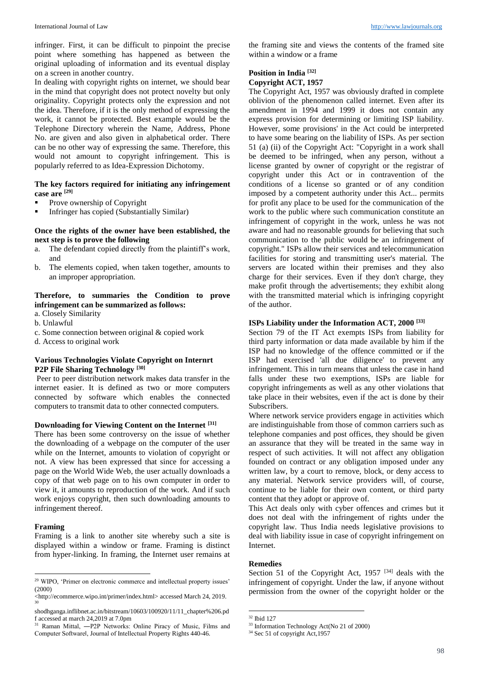infringer. First, it can be difficult to pinpoint the precise point where something has happened as between the original uploading of information and its eventual display on a screen in another country.

In dealing with copyright rights on internet, we should bear in the mind that copyright does not protect novelty but only originality. Copyright protects only the expression and not the idea. Therefore, if it is the only method of expressing the work, it cannot be protected. Best example would be the Telephone Directory wherein the Name, Address, Phone No. are given and also given in alphabetical order. There can be no other way of expressing the same. Therefore, this would not amount to copyright infringement. This is popularly referred to as Idea-Expression Dichotomy.

## **The key factors required for initiating any infringement case are [29]**

- Prove ownership of Copyright
- Infringer has copied (Substantially Similar)

## **Once the rights of the owner have been established, the next step is to prove the following**

- a. The defendant copied directly from the plaintiff's work, and
- b. The elements copied, when taken together, amounts to an improper appropriation.

## **Therefore, to summaries the Condition to prove infringement can be summarized as follows:**

- a. Closely Similarity
- b. Unlawful
- c. Some connection between original & copied work
- d. Access to original work

## **Various Technologies Violate Copyright on Internrt P2P File Sharing Technology [30]**

Peer to peer distribution network makes data transfer in the internet easier. It is defined as two or more computers connected by software which enables the connected computers to transmit data to other connected computers.

#### **Downloading for Viewing Content on the Internet [31]**

There has been some controversy on the issue of whether the downloading of a webpage on the computer of the user while on the Internet, amounts to violation of copyright or not. A view has been expressed that since for accessing a page on the World Wide Web, the user actually downloads a copy of that web page on to his own computer in order to view it, it amounts to reproduction of the work. And if such work enjoys copyright, then such downloading amounts to infringement thereof.

### **Framing**

**.** 

Framing is a link to another site whereby such a site is displayed within a window or frame. Framing is distinct from hyper-linking. In framing, the Internet user remains at

the framing site and views the contents of the framed site within a window or a frame

## **Position in India [32]**

#### **Copyright ACT, 1957**

The Copyright Act, 1957 was obviously drafted in complete oblivion of the phenomenon called internet. Even after its amendment in 1994 and 1999 it does not contain any express provision for determining or limiting ISP liability. However, some provisions' in the Act could be interpreted to have some bearing on the liability of ISPs. As per section 51 (a) (ii) of the Copyright Act: "Copyright in a work shall be deemed to be infringed, when any person, without a license granted by owner of copyright or the registrar of copyright under this Act or in contravention of the conditions of a license so granted or of any condition imposed by a competent authority under this Act... permits for profit any place to be used for the communication of the work to the public where such communication constitute an infringement of copyright in the work, unless he was not aware and had no reasonable grounds for believing that such communication to the public would be an infringement of copyright." ISPs allow their services and telecommunication facilities for storing and transmitting user's material. The servers are located within their premises and they also charge for their services. Even if they don't charge, they make profit through the advertisements; they exhibit along with the transmitted material which is infringing copyright of the author.

## **ISPs Liability under the Information ACT, 2000 [33]**

Section 79 of the IT Act exempts ISPs from liability for third party information or data made available by him if the ISP had no knowledge of the offence committed or if the ISP had exercised 'all due diligence' to prevent any infringement. This in turn means that unless the case in hand falls under these two exemptions, ISPs are liable for copyright infringements as well as any other violations that take place in their websites, even if the act is done by their Subscribers.

Where network service providers engage in activities which are indistinguishable from those of common carriers such as telephone companies and post offices, they should be given an assurance that they will be treated in the same way in respect of such activities. It will not affect any obligation founded on contract or any obligation imposed under any written law, by a court to remove, block, or deny access to any material. Network service providers will, of course, continue to be liable for their own content, or third party content that they adopt or approve of.

This Act deals only with cyber offences and crimes but it does not deal with the infringement of rights under the copyright law. Thus India needs legislative provisions to deal with liability issue in case of copyright infringement on Internet.

# **Remedies**

Section 51 of the Copyright Act, 1957<sup>[34]</sup> deals with the infringement of copyright. Under the law, if anyone without permission from the owner of the copyright holder or the

<sup>&</sup>lt;sup>29</sup> WIPO, 'Primer on electronic commerce and intellectual property issues' (2000)

<sup>&</sup>lt;http://ecommerce.wipo.int/primer/index.html> accessed March 24, 2019. 30

shodhganga.inflibnet.ac.in/bitstream/10603/100920/11/11\_chapter%206.pd f accessed at march 24,2019 at 7.0pm

<sup>31</sup> Raman Mittal, ―P2P Networks: Online Piracy of Music, Films and Computer Softwarel, Journal of Intellectual Property Rights 440-46.

<sup>1</sup> <sup>32</sup> Ibid 127

<sup>33</sup> Information Technology Act(No 21 of 2000)

<sup>34</sup> Sec 51 of copyright Act,1957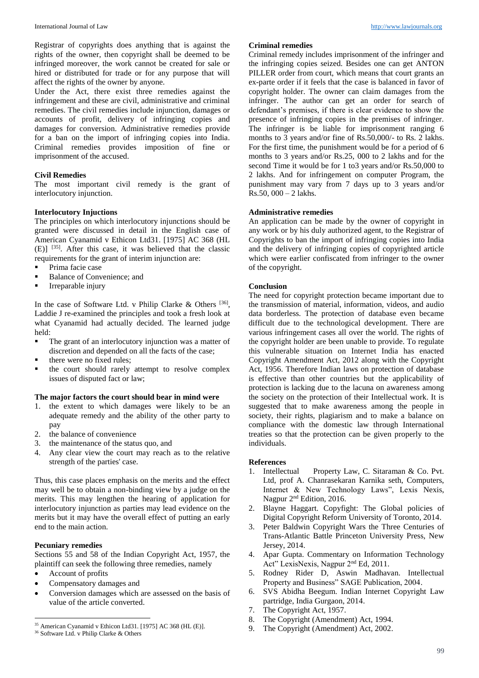Registrar of copyrights does anything that is against the rights of the owner, then copyright shall be deemed to be infringed moreover, the work cannot be created for sale or hired or distributed for trade or for any purpose that will affect the rights of the owner by anyone.

Under the Act, there exist three remedies against the infringement and these are civil, administrative and criminal remedies. The civil remedies include injunction, damages or accounts of profit, delivery of infringing copies and damages for conversion. Administrative remedies provide for a ban on the import of infringing copies into India. Criminal remedies provides imposition of fine or imprisonment of the accused.

# **Civil Remedies**

The most important civil remedy is the grant of interlocutory injunction.

## **Interlocutory Injuctions**

The principles on which interlocutory injunctions should be granted were discussed in detail in the English case of American Cyanamid v Ethicon Ltd31. [1975] AC 368 (HL  $(E)$ ] <sup>[35]</sup>. After this case, it was believed that the classic requirements for the grant of interim injunction are:

- **Prima facie case**
- Balance of Convenience; and<br>Irrenarable injury
- Irreparable injury

In the case of Software Ltd. v Philip Clarke & Others  $[36]$ , Laddie J re-examined the principles and took a fresh look at what Cyanamid had actually decided. The learned judge held:

- The grant of an interlocutory injunction was a matter of discretion and depended on all the facts of the case;
- there were no fixed rules;
- the court should rarely attempt to resolve complex issues of disputed fact or law;

## **The major factors the court should bear in mind were**

- 1. the extent to which damages were likely to be an adequate remedy and the ability of the other party to pay
- 2. the balance of convenience
- 3. the maintenance of the status quo, and
- 4. Any clear view the court may reach as to the relative strength of the parties' case.

Thus, this case places emphasis on the merits and the effect may well be to obtain a non-binding view by a judge on the merits. This may lengthen the hearing of application for interlocutory injunction as parties may lead evidence on the merits but it may have the overall effect of putting an early end to the main action.

## **Pecuniary remedies**

Sections 55 and 58 of the Indian Copyright Act, 1957, the plaintiff can seek the following three remedies, namely

Account of profits

**.** 

- Compensatory damages and
- Conversion damages which are assessed on the basis of value of the article converted.

#### **Criminal remedies**

Criminal remedy includes imprisonment of the infringer and the infringing copies seized. Besides one can get ANTON PILLER order from court, which means that court grants an ex-parte order if it feels that the case is balanced in favor of copyright holder. The owner can claim damages from the infringer. The author can get an order for search of defendant's premises, if there is clear evidence to show the presence of infringing copies in the premises of infringer. The infringer is be liable for imprisonment ranging 6 months to 3 years and/or fine of Rs.50,000/- to Rs. 2 lakhs. For the first time, the punishment would be for a period of 6 months to 3 years and/or Rs.25, 000 to 2 lakhs and for the second Time it would be for 1 to3 years and/or Rs.50,000 to 2 lakhs. And for infringement on computer Program, the punishment may vary from 7 days up to 3 years and/or Rs.50, 000 – 2 lakhs.

## **Administrative remedies**

An application can be made by the owner of copyright in any work or by his duly authorized agent, to the Registrar of Copyrights to ban the import of infringing copies into India and the delivery of infringing copies of copyrighted article which were earlier confiscated from infringer to the owner of the copyright.

## **Conclusion**

The need for copyright protection became important due to the transmission of material, information, videos, and audio data borderless. The protection of database even became difficult due to the technological development. There are various infringement cases all over the world. The rights of the copyright holder are been unable to provide. To regulate this vulnerable situation on Internet India has enacted Copyright Amendment Act, 2012 along with the Copyright Act, 1956. Therefore Indian laws on protection of database is effective than other countries but the applicability of protection is lacking due to the lacuna on awareness among the society on the protection of their Intellectual work. It is suggested that to make awareness among the people in society, their rights, plagiarism and to make a balance on compliance with the domestic law through International treaties so that the protection can be given properly to the individuals.

## **References**

- 1. Intellectual Property Law, C. Sitaraman & Co. Pvt. Ltd, prof A. Chanrasekaran Karnika seth, Computers, Internet & New Technology Laws", Lexis Nexis, Nagpur 2<sup>nd</sup> Edition, 2016.
- 2. Blayne Haggart. Copyfight: The Global policies of Digital Copyright Reform University of Toronto, 2014.
- 3. Peter Baldwin Copyright Wars the Three Centuries of Trans-Atlantic Battle Princeton University Press, New Jersey, 2014.
- 4. Apar Gupta. Commentary on Information Technology Act" LexisNexis, Nagpur 2nd Ed, 2011.
- 5. Rodney Rider D, Aswin Madhavan. Intellectual Property and Business" SAGE Publication, 2004.
- 6. SVS Abidha Beegum. Indian Internet Copyright Law partridge, India Gurgaon, 2014.
- 
- 7. The Copyright Act, 1957.<br>8. The Copyright (Amendme The Copyright (Amendment) Act, 1994.
- 9. The Copyright (Amendment) Act, 2002.

<sup>35</sup> American Cyanamid v Ethicon Ltd31. [1975] AC 368 (HL (E)]. <sup>36</sup> Software Ltd. v Philip Clarke & Others